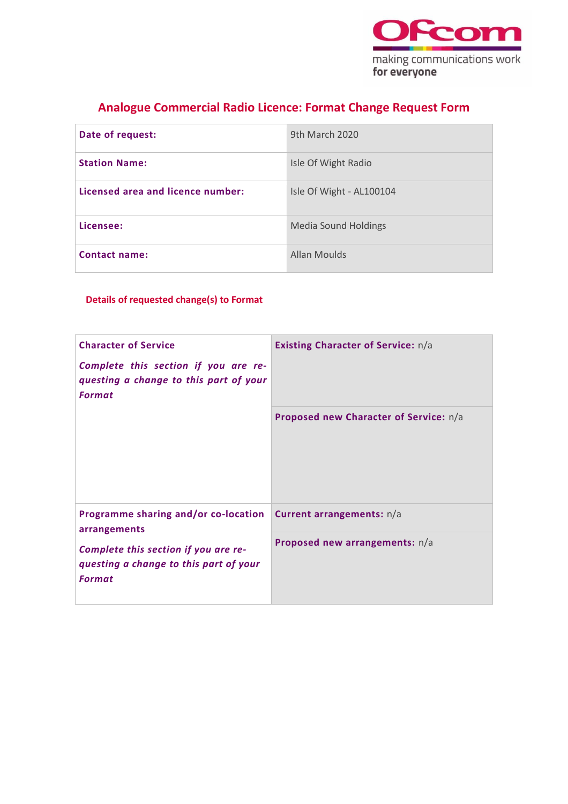

## **Analogue Commercial Radio Licence: Format Change Request Form**

| Date of request:                  | 9th March 2020              |
|-----------------------------------|-----------------------------|
| <b>Station Name:</b>              | Isle Of Wight Radio         |
| Licensed area and licence number: | Isle Of Wight - AL100104    |
| Licensee:                         | <b>Media Sound Holdings</b> |
| <b>Contact name:</b>              | Allan Moulds                |

### **Details of requested change(s) to Format**

| <b>Character of Service</b><br>Complete this section if you are re-<br>questing a change to this part of your<br><b>Format</b>                          | <b>Existing Character of Service:</b> n/a |
|---------------------------------------------------------------------------------------------------------------------------------------------------------|-------------------------------------------|
|                                                                                                                                                         | Proposed new Character of Service: n/a    |
| Programme sharing and/or co-location<br>arrangements<br>Complete this section if you are re-<br>questing a change to this part of your<br><b>Format</b> | Current arrangements: n/a                 |
|                                                                                                                                                         | Proposed new arrangements: n/a            |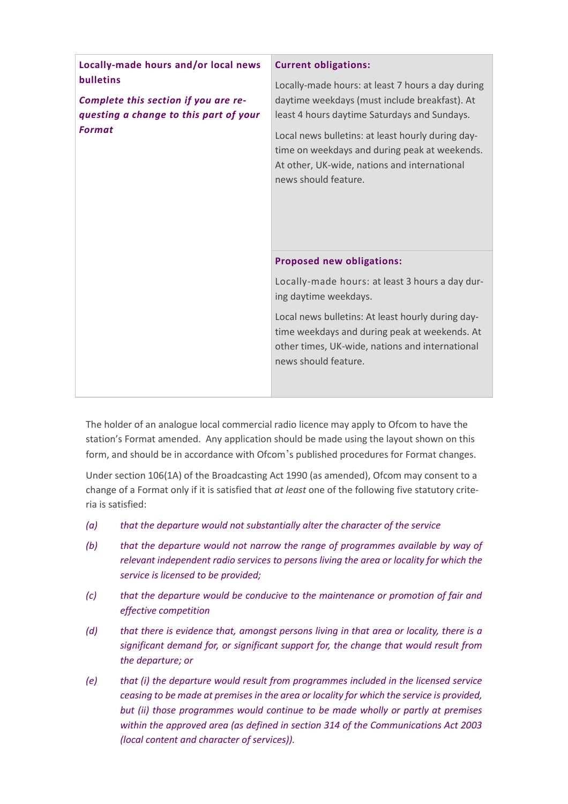| Locally-made hours and/or local news                    | <b>Current obligations:</b>                                                                                                                                                   |
|---------------------------------------------------------|-------------------------------------------------------------------------------------------------------------------------------------------------------------------------------|
| <b>bulletins</b>                                        | Locally-made hours: at least 7 hours a day during                                                                                                                             |
| Complete this section if you are re-                    | daytime weekdays (must include breakfast). At                                                                                                                                 |
| questing a change to this part of your<br><b>Format</b> | least 4 hours daytime Saturdays and Sundays.                                                                                                                                  |
|                                                         | Local news bulletins: at least hourly during day-<br>time on weekdays and during peak at weekends.<br>At other, UK-wide, nations and international<br>news should feature.    |
|                                                         | <b>Proposed new obligations:</b>                                                                                                                                              |
|                                                         | Locally-made hours: at least 3 hours a day dur-<br>ing daytime weekdays.                                                                                                      |
|                                                         | Local news bulletins: At least hourly during day-<br>time weekdays and during peak at weekends. At<br>other times, UK-wide, nations and international<br>news should feature. |
|                                                         |                                                                                                                                                                               |

The holder of an analogue local commercial radio licence may apply to Ofcom to have the station's Format amended. Any application should be made using the layout shown on this form, and should be in accordance with Ofcom's published procedures for Format changes.

Under section 106(1A) of the Broadcasting Act 1990 (as amended), Ofcom may consent to a change of a Format only if it is satisfied that *at least* one of the following five statutory criteria is satisfied:

- *(a) that the departure would not substantially alter the character of the service*
- *(b) that the departure would not narrow the range of programmes available by way of relevant independent radio services to persons living the area or locality for which the service is licensed to be provided;*
- *(c) that the departure would be conducive to the maintenance or promotion of fair and effective competition*
- *(d) that there is evidence that, amongst persons living in that area or locality, there is a significant demand for, or significant support for, the change that would result from the departure; or*
- *(e) that (i) the departure would result from programmes included in the licensed service ceasing to be made at premises in the area or locality for which the service is provided, but (ii) those programmes would continue to be made wholly or partly at premises within the approved area (as defined in section 314 of the Communications Act 2003 (local content and character of services)).*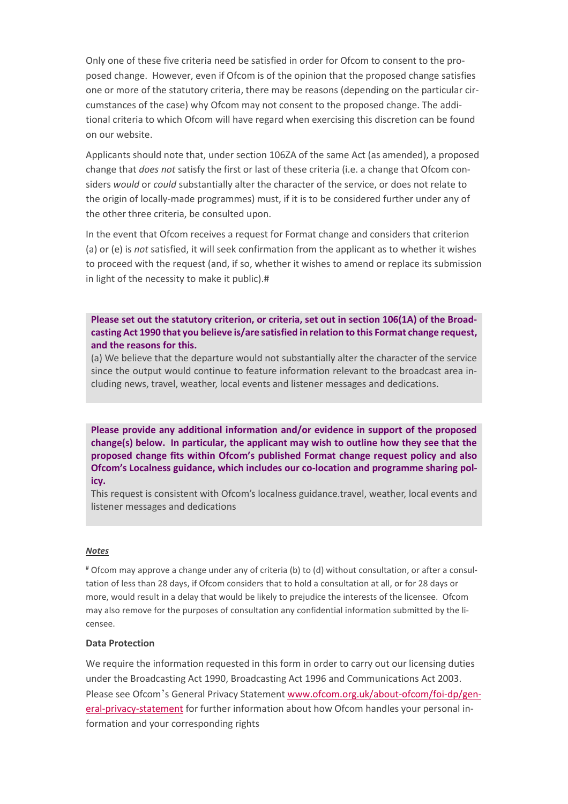Only one of these five criteria need be satisfied in order for Ofcom to consent to the proposed change. However, even if Ofcom is of the opinion that the proposed change satisfies one or more of the statutory criteria, there may be reasons (depending on the particular circumstances of the case) why Ofcom may not consent to the proposed change. The additional criteria to which Ofcom will have regard when exercising this discretion can be found on our website.

Applicants should note that, under section 106ZA of the same Act (as amended), a proposed change that *does not* satisfy the first or last of these criteria (i.e. a change that Ofcom considers *would* or *could* substantially alter the character of the service, or does not relate to the origin of locally-made programmes) must, if it is to be considered further under any of the other three criteria, be consulted upon.

In the event that Ofcom receives a request for Format change and considers that criterion (a) or (e) is *not* satisfied, it will seek confirmation from the applicant as to whether it wishes to proceed with the request (and, if so, whether it wishes to amend or replace its submission in light of the necessity to make it public).#

**Please set out the statutory criterion, or criteria, set out in section 106(1A) of the Broadcasting Act 1990 that you believe is/are satisfied in relation to this Format change request, and the reasons for this.**

(a) We believe that the departure would not substantially alter the character of the service since the output would continue to feature information relevant to the broadcast area including news, travel, weather, local events and listener messages and dedications.

**Please provide any additional information and/or evidence in support of the proposed change(s) below. In particular, the applicant may wish to outline how they see that the proposed change fits within Ofcom's published Format change request policy and also Ofcom's Localness guidance, which includes our co-location and programme sharing policy.**

This request is consistent with Ofcom's localness guidance.travel, weather, local events and listener messages and dedications

#### *Notes*

# Ofcom may approve a change under any of criteria (b) to (d) without consultation, or after a consultation of less than 28 days, if Ofcom considers that to hold a consultation at all, or for 28 days or more, would result in a delay that would be likely to prejudice the interests of the licensee. Ofcom may also remove for the purposes of consultation any confidential information submitted by the licensee.

### **Data Protection**

We require the information requested in this form in order to carry out our licensing duties under the Broadcasting Act 1990, Broadcasting Act 1996 and Communications Act 2003. Please see Ofcom's General Privacy Statement [www.ofcom.org.uk/about-ofcom/foi-dp/gen](https://ofcomuk.sharepoint.com/teams/rcbl_rl/ana/Licences/AL100104%20(formerly%20AL044)%20Isle%20of%20Wight%20FM/Format/Format%20change%20(2020)/www.ofcom.org.uk/about-ofcom/foi-dp/general-privacy-statement)[eral-privacy-statement](https://ofcomuk.sharepoint.com/teams/rcbl_rl/ana/Licences/AL100104%20(formerly%20AL044)%20Isle%20of%20Wight%20FM/Format/Format%20change%20(2020)/www.ofcom.org.uk/about-ofcom/foi-dp/general-privacy-statement) for further information about how Ofcom handles your personal information and your corresponding rights